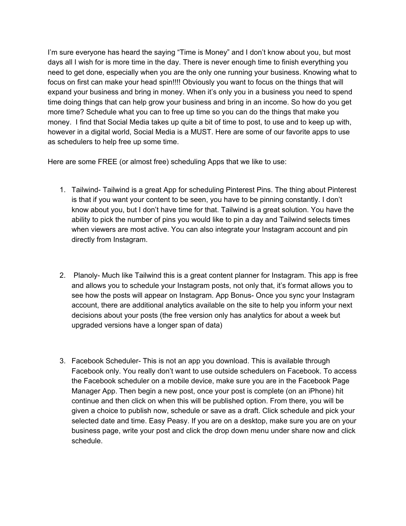I'm sure everyone has heard the saying "Time is Money" and I don't know about you, but most days all I wish for is more time in the day. There is never enough time to finish everything you need to get done, especially when you are the only one running your business. Knowing what to focus on first can make your head spin!!!! Obviously you want to focus on the things that will expand your business and bring in money. When it's only you in a business you need to spend time doing things that can help grow your business and bring in an income. So how do you get more time? Schedule what you can to free up time so you can do the things that make you money. I find that Social Media takes up quite a bit of time to post, to use and to keep up with, however in a digital world, Social Media is a MUST. Here are some of our favorite apps to use as schedulers to help free up some time.

Here are some FREE (or almost free) scheduling Apps that we like to use:

- 1. Tailwind- Tailwind is a great App for scheduling Pinterest Pins. The thing about Pinterest is that if you want your content to be seen, you have to be pinning constantly. I don't know about you, but I don't have time for that. Tailwind is a great solution. You have the ability to pick the number of pins you would like to pin a day and Tailwind selects times when viewers are most active. You can also integrate your Instagram account and pin directly from Instagram.
- 2. Planoly- Much like Tailwind this is a great content planner for Instagram. This app is free and allows you to schedule your Instagram posts, not only that, it's format allows you to see how the posts will appear on Instagram. App Bonus- Once you sync your Instagram account, there are additional analytics available on the site to help you inform your next decisions about your posts (the free version only has analytics for about a week but upgraded versions have a longer span of data)
- 3. Facebook Scheduler- This is not an app you download. This is available through Facebook only. You really don't want to use outside schedulers on Facebook. To access the Facebook scheduler on a mobile device, make sure you are in the Facebook Page Manager App. Then begin a new post, once your post is complete (on an iPhone) hit continue and then click on when this will be published option. From there, you will be given a choice to publish now, schedule or save as a draft. Click schedule and pick your selected date and time. Easy Peasy. If you are on a desktop, make sure you are on your business page, write your post and click the drop down menu under share now and click schedule.